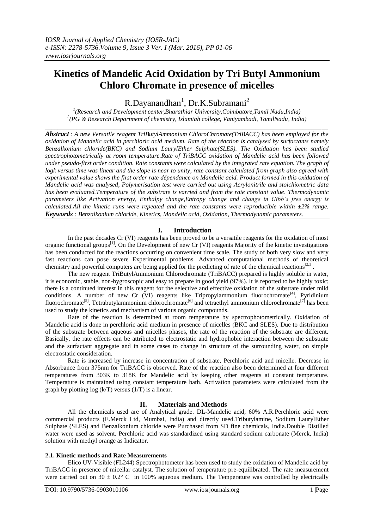# **Kinetics of Mandelic Acid Oxidation by Tri Butyl Ammonium Chloro Chromate in presence of micelles**

R.Dayanandhan<sup>1</sup>, Dr.K.Subramani<sup>2</sup>

*1 (Research and Development center,Bharathiar University,Coimbatore,Tamil Nadu,India) 2 (PG & Research Department of chemistry, Islamiah college, Vaniyambadi, TamilNadu, India)* **\_\_\_\_\_\_\_\_\_\_\_\_\_\_\_\_\_\_\_\_\_\_\_\_\_\_\_\_\_\_\_\_\_\_\_\_\_\_\_\_\_\_\_\_\_\_\_\_\_\_\_\_\_\_\_\_\_\_\_\_\_\_\_\_\_\_\_\_\_\_\_\_\_\_\_\_\_\_\_\_\_\_\_\_\_\_\_\_\_\_**

*Abstract* : *A new Versatile reagent TriButylAmmonium ChloroChromate(TriBACC) has been employed for the oxidation of Mandelic acid in perchloric acid medium. Rate of the réaction is catalysed by surfactants namely Benzalkonium chloride(BKC) and Sodium LaurylEther Sulphate(SLES). The Oxidation has been studied spectrophotometrically at room temperature.Rate of TriBACC oxidation of Mandelic acid has been followed under pseudo-first order condition. Rate constants were calculated by the integrated rate equation. The graph of logk versus time was linear and the slope is near to unity, rate constant calculated from graph also agreed with experimental value shows the first order rate dépendance on Mandelic acid. Product formed in this oxidation of Mandelic acid was analysed, Polymerisation test were carried out using Acrylonitrile and stoichiometric data has been evaluated.Temperature of the substrate is varried and from the rate constant value. Thermodynamic parameters like Activation energy, Enthalpy change,Entropy change and change in Gibb's free energy is calculated.All the kinetic runs were repeated and the rate constants were reproducible within ±2% range. Keywords : Benzalkonium chloride, Kinetics, Mandelic acid, Oxidation, Thermodynamic parameters.*

# **I. Introduction**

In the past decades Cr (VI) reagents has been proved to be a versatile reagents for the oxidation of most organic functional groups<sup>[1]</sup>. On the Development of new Cr (VI) reagents Majority of the kinetic investigations has been conducted for the reactions occurring on convenient time scale. The study of both very slow and very fast reactions can pose severe Experimental problems. Advanced computational methods of theoretical chemistry and powerful computers are being applied for the predicting of rate of the chemical reactions<sup>[2,3]</sup>.

The new reagent TriButylAmmonium Chlorochromate (TriBACC) prepared is highly soluble in water, it is economic, stable, non-hygroscopic and easy to prepare in good yield (97%). It is reported to be highly toxic; there is a continued interest in this reagent for the selective and effective oxidation of the substrate under mild conditions. A number of new Cr (VI) reagents like Tripropylammonium fluorochromate<sup>[4]</sup>, Pyridinium fluorochromate<sup>[5]</sup>, Tetrabutylammonium chlorochromate<sup>[6]</sup> and tetraethyl ammonium chlorochromate<sup>[7]</sup> has been used to study the kinetics and mechanism of various organic compounds.

Rate of the reaction is determined at room temperature by spectrophotometrically. Oxidation of Mandelic acid is done in perchloric acid medium in presence of micelles (BKC and SLES). Due to distribution of the substrate between aqueous and micelles phases, the rate of the reaction of the substrate are different. Basically, the rate effects can be attributed to electrostatic and hydrophobic interaction between the substrate and the surfactant aggregate and in some cases to change in structure of the surrounding water, on simple electrostatic consideration.

Rate is increased by increase in concentration of substrate, Perchloric acid and micelle. Decrease in Absorbance from 375nm for TriBACC is observed. Rate of the reaction also been determined at four different temperatures from 303K to 318K for Mandelic acid by keeping other reagents at constant temperature. Temperature is maintained using constant temperature bath. Activation parameters were calculated from the graph by plotting log  $(k/T)$  versus  $(1/T)$  is a linear.

# **II. Materials and Methods**

All the chemicals used are of Analytical grade. DL-Mandelic acid, 60% A.R.Perchloric acid were commercial products (E.Merck Ltd, Mumbai, India) and directly used.Tributylamine, Sodium LaurylEther Sulphate (SLES) and Benzalkonium chloride were Purchased from SD fine chemicals, India.Double Distilled water were used as solvent. Perchloric acid was standardized using standard sodium carbonate (Merck, India) solution with methyl orange as Indicator.

## **2.1. Kinetic methods and Rate Measurements**

Elico UV-Visible (FL244) Spectrophotometer has been used to study the oxidation of Mandelic acid by TriBACC in presence of micellar catalyst. The solution of temperature pre-equilibrated. The rate measurement were carried out on 30  $\pm$  0.2° C in 100% aqueous medium. The Temperature was controlled by electrically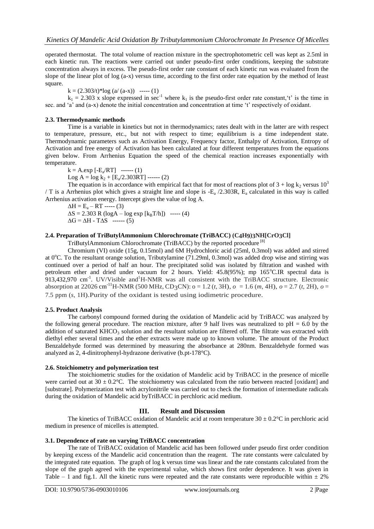operated thermostat. The total volume of reaction mixture in the spectrophotometric cell was kept as 2.5ml in each kinetic run. The reactions were carried out under pseudo-first order conditions, keeping the substrate concentration always in excess. The pseudo-first order rate constant of each kinetic run was evaluated from the slope of the linear plot of log (a-x) versus time, according to the first order rate equation by the method of least square.

 $k = (2.303/t)^* \log(a/(a-x))$  ----- (1)

 $k_1 = 2.303$  x slope expressed in sec<sup>-1</sup> where  $k_1$  is the pseudo-first order rate constant, 't' is the time in sec. and 'a' and (a-x) denote the initial concentration and concentration at time 't' respectively of oxidant.

# **2.3. Thermodynamic methods**

Time is a variable in kinetics but not in thermodynamics; rates dealt with in the latter are with respect to temperature, pressure, etc., but not with respect to time; equilibrium is a time independent state. Thermodynamic parameters such as Activation Energy, Frequency factor, Enthalpy of Activation, Entropy of Activation and free energy of Activation has been calculated at four different temperatures from the equations given below. From Arrhenius Equation the speed of the chemical reaction increases exponentially with temperature.

 $k = A.\exp[-E_a/RT]$  ------ (1)

Log A =  $log k_2 + [E_a/2.303RT]$  ------ (2)

The equation is in accordance with empirical fact that for most of reactions plot of  $3 + \log k_2$  versus  $10^3$ / T is a Arrhenius plot which gives a straight line and slope is  $-E_a/2.303R$ ,  $E_a$  calculated in this way is called Arrhenius activation energy. Intercept gives the value of log A.

 $\Delta H = E_a - RT$  ----- (3)  $\Delta S = 2.303 \text{ R} (\log A - \log \exp [k_B T/h])$  ----- (4)  $\Delta G = \Delta H - T \Delta S$  ------ (5)

# **2.4. Preparation of TriButylAmmonium Chlorochromate (TriBACC) (C4H9)3NH[CrO3Cl]**

TriButylAmmonium Chlorochromate (TriBACC) by the reported procedure [8]

Chromium (VI) oxide (15g, 0.15mol) and 6M Hydrochloric acid (25ml, 0.3mol) was added and stirred at 0 $^{\circ}$ C. To the resultant orange solution, Tributylamine (71.29ml, 0.3mol) was added drop wise and stirring was continued over a period of half an hour. The precipitated solid was isolated by filtration and washed with petroleum ether and dried under vacuum for 2 hours. Yield:  $45.8(95%)$ ; mp  $165^{\circ}$ C.IR spectral data is 913,432,970 cm<sup>-1</sup>. UV/Visible and<sup>1</sup>H-NMR was all consistent with the TriBACC structure. Electronic absorption at 22026 cm<sup>-11</sup>H-NMR (500 MHz, CD<sub>3</sub>CN):  $o = 1.2$  (*t*, 3H),  $o = 1.6$  (*m*, 4H),  $o = 2.7$  (*t*, 2H),  $o = 2.7$ 7.5 ppm (*s*, 1H).Purity of the oxidant is tested using iodimetric procedure.

## **2.5. Product Analysis**

The carbonyl compound formed during the oxidation of Mandelic acid by TriBACC was analyzed by the following general procedure. The reaction mixture, after 9 half lives was neutralized to  $pH = 6.0$  by the addition of saturated KHCO<sub>3</sub> solution and the resultant solution are filtered off. The filtrate was extracted with diethyl ether several times and the ether extracts were made up to known volume. The amount of the Product Benzaldehyde formed was determined by measuring the absorbance at 280nm. Benzaldehyde formed was analyzed as 2, 4-dinitrophenyl-hydrazone derivative (b.pt-178°C).

## **2.6. Stoichiometry and polymerization test**

The stoichiometric studies for the oxidation of Mandelic acid by TriBACC in the presence of micelle were carried out at  $30 \pm 0.2$ °C. The stoichiometry was calculated from the ratio between reacted [oxidant] and [substrate]. Polymerization test with acrylonitrile was carried out to check the formation of intermediate radicals during the oxidation of Mandelic acid byTriBACC in perchloric acid medium.

# **III. Result and Discussion**

The kinetics of TriBACC oxidation of Mandelic acid at room temperature  $30 \pm 0.2$ °C in perchloric acid medium in presence of micelles is attempted.

## **3.1. Dependence of rate on varying TriBACC concentration**

The rate of TriBACC oxidation of Mandelic acid has been followed under pseudo first order condition by keeping excess of the Mandelic acid concentration than the reagent. The rate constants were calculated by the integrated rate equation. The graph of log k versus time was linear and the rate constants calculated from the slope of the graph agreed with the experimental value, which shows first order dependence. It was given in Table – 1 and fig.1. All the kinetic runs were repeated and the rate constants were reproducible within  $\pm 2\%$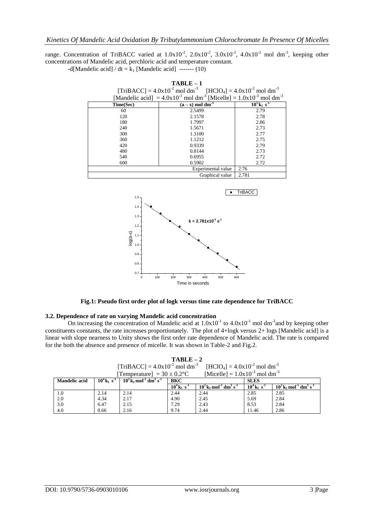range. Concentration of TriBACC varied at  $1.0x10^{-2}$ ,  $2.0x10^{-2}$ ,  $3.0x10^{-2}$ ,  $4.0x10^{-2}$  mol dm<sup>-3</sup>, keeping other concentrations of Mandelic acid, perchloric acid and temperature constant.

| -d[Mandelic acid] / $dt = k_1$ [Mandelic acid] ------- (10) |  |  |  |
|-------------------------------------------------------------|--|--|--|
|-------------------------------------------------------------|--|--|--|

| $TABLE-1$ |                                                                                                                                                                                                                 |                                       |  |  |  |
|-----------|-----------------------------------------------------------------------------------------------------------------------------------------------------------------------------------------------------------------|---------------------------------------|--|--|--|
|           |                                                                                                                                                                                                                 |                                       |  |  |  |
|           | [TriBACC] = $4.0x10^{-2}$ mol dm <sup>-3</sup> [HClO <sub>4</sub> ] = $4.0x10^{-2}$ mol dm <sup>-3</sup><br>[Mandelic acid] = $4.0x10^{-1}$ mol dm <sup>-3</sup> [Micelle] = $1.0x10^{-3}$ mol dm <sup>-3</sup> |                                       |  |  |  |
| Time(Sec) | $(a - x)$ mol dm <sup>-3</sup>                                                                                                                                                                                  | $10^3$ k <sub>1</sub> s <sup>-1</sup> |  |  |  |
| 60        | 2.5499                                                                                                                                                                                                          | 2.79                                  |  |  |  |
| 120       | 2.1578                                                                                                                                                                                                          | 2.78                                  |  |  |  |
| 180       | 1.7997                                                                                                                                                                                                          | 2.86                                  |  |  |  |
| 240       | 1.5671                                                                                                                                                                                                          | 2.73                                  |  |  |  |
| 300       | 1.3100                                                                                                                                                                                                          | 2.77                                  |  |  |  |
| 360       | 1.1212                                                                                                                                                                                                          | 2.75                                  |  |  |  |
| 420       | 0.9339                                                                                                                                                                                                          | 2.79                                  |  |  |  |
| 480       | 0.8144                                                                                                                                                                                                          | 2.73                                  |  |  |  |
| 540       | 0.6955                                                                                                                                                                                                          | 2.72                                  |  |  |  |
| 600       | 0.5902                                                                                                                                                                                                          | 2.72                                  |  |  |  |
|           | Experimental value                                                                                                                                                                                              | 2.76                                  |  |  |  |
|           | Graphical value                                                                                                                                                                                                 | 2.781                                 |  |  |  |
|           |                                                                                                                                                                                                                 |                                       |  |  |  |
|           |                                                                                                                                                                                                                 |                                       |  |  |  |



**Fig.1: Pseudo first order plot of logk versus time rate dependence for TriBACC**

#### **3.2. Dependence of rate on varying Mandelic acid concentration**

On increasing the concentration of Mandelic acid at  $1.0x10^{-1}$  to  $4.0x10^{-1}$  mol dm<sup>-3</sup> and by keeping other constituents constants, the rate increases proportionately. The plot of 4+logk versus 2+ logs [Mandelic acid] is a linear with slope nearness to Unity shows the first order rate dependence of Mandelic acid. The rate is compared for the both the absence and presence of micelle. It was shown in Table-2 and Fig.2.

**TABLE – 2**  $[TriBACC] = 4.0x10^{-2}$  mol dm<sup>-3</sup>  $[HClO_4] = 4.0x10^{-2}$  mol dm<sup>-3</sup> [Temperature] =  $30 \pm 0.2^{\circ}\text{C}$  [Micelle] =  $1.0x10^{-3}$  mol dm<sup>-3</sup>

| --------             |                                       |                                                                         |                                       |                                                                           |                                       |                                                            |
|----------------------|---------------------------------------|-------------------------------------------------------------------------|---------------------------------------|---------------------------------------------------------------------------|---------------------------------------|------------------------------------------------------------|
| <b>Mandelic acid</b> | $10^4$ k <sub>1</sub> s <sup>-1</sup> | $10^2$ k <sub>2</sub> mol <sup>-1</sup> dm <sup>3</sup> s <sup>-1</sup> | <b>BKC</b>                            |                                                                           | <b>SLES</b>                           |                                                            |
|                      |                                       |                                                                         | $10^4$ k <sub>1</sub> s <sup>-1</sup> | $10^{2}$ k <sub>2</sub> mol <sup>-1</sup> dm <sup>3</sup> s <sup>-1</sup> | $10^4$ k <sub>1</sub> s <sup>-1</sup> | $102$ k, mol <sup>-1</sup> dm <sup>3</sup> s <sup>-1</sup> |
| 1.0                  | 2.14                                  | 2.14                                                                    | 2.44                                  | 2.44                                                                      | 2.85                                  | 2.85                                                       |
| 2.0                  | 4.34                                  | 2.17                                                                    | 4.90                                  | 2.45                                                                      | 5.69                                  | 2.84                                                       |
| 3.0                  | 6.47                                  | 2.15                                                                    | 7.29                                  | 2.43                                                                      | 8.53                                  | 2.84                                                       |
| 4.0                  | 8.66                                  | 2.16                                                                    | 9.74                                  | 2.44                                                                      | 1.46                                  | 2.86                                                       |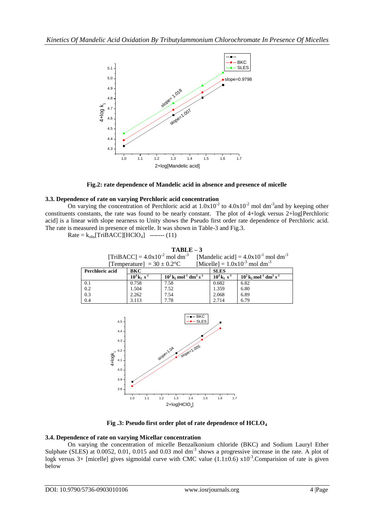

**Fig.2: rate dependence of Mandelic acid in absence and presence of micelle**

# **3.3. Dependence of rate on varying Perchloric acid concentration**

On varying the concentration of Perchloric acid at  $1.0x10^{-2}$  to  $4.0x10^{-2}$  mol dm<sup>-3</sup> and by keeping other constituents constants, the rate was found to be nearly constant. The plot of 4+logk versus 2+log[Perchloric acid] is a linear with slope nearness to Unity shows the Pseudo first order rate dependence of Perchloric acid. The rate is measured in presence of micelle. It was shown in Table-3 and Fig.3.

 $Rate = k_{obs}[TriBACC][HClO<sub>4</sub>]$  ------- (11)

# **TABLE – 3**

|                                 | [TriBACC] = $4.0x10^{-2}$ mol dm <sup>-3</sup> [Mandelic acid] = $4.0x10^{-1}$ mol dm <sup>-3</sup> |
|---------------------------------|-----------------------------------------------------------------------------------------------------|
| [Temperature] $= 30 \pm 0.2$ °C | [Micelle] = $1.0x10^{-3}$ mol dm <sup>-3</sup>                                                      |

| Perchloric acid | <b>BKC</b>                            |                                                                         | <b>SLES</b>                           |                                                                         |  |
|-----------------|---------------------------------------|-------------------------------------------------------------------------|---------------------------------------|-------------------------------------------------------------------------|--|
|                 | $10^4$ k <sub>1</sub> s <sup>-1</sup> | $10^2$ k <sub>2</sub> mol <sup>-1</sup> dm <sup>3</sup> s <sup>-1</sup> | $10^4$ k <sub>1</sub> s <sup>-1</sup> | $10^2$ k <sub>2</sub> mol <sup>-1</sup> dm <sup>3</sup> s <sup>-1</sup> |  |
| 0.1             | 0.758                                 | 7.58                                                                    | 0.682                                 | 6.82                                                                    |  |
| 0.2             | 1.504                                 | 7.52                                                                    | 1.359                                 | 6.80                                                                    |  |
| 0.3             | 2.262                                 | 7.54                                                                    | 2.068                                 | 6.89                                                                    |  |
| 0.4             | 3.113                                 | 7.78                                                                    | 2.714                                 | 6.79                                                                    |  |



**Fig .3: Pseudo first order plot of rate dependence of HCLO<sup>4</sup>**

# **3.4. Dependence of rate on varying Micellar concentration**

On varying the concentration of micelle Benzalkonium chloride (BKC) and Sodium Lauryl Ether Sulphate (SLES) at 0.0052, 0.01, 0.015 and 0.03 mol dm<sup>-3</sup> shows a progressive increase in the rate. A plot of logk versus 3+ [micelle] gives sigmoidal curve with CMC value  $(1.1\pm0.6)$  x10<sup>-3</sup>. Comparision of rate is given below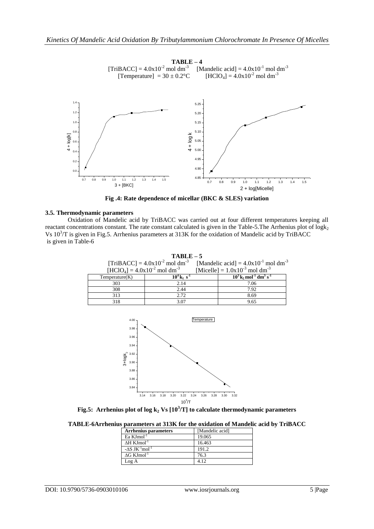

**Fig .4: Rate dependence of micellar (BKC & SLES) variation**

## **3.5. Thermodynamic parameters**

Oxidation of Mandelic acid by TriBACC was carried out at four different temperatures keeping all reactant concentrations constant. The rate constant calculated is given in the Table-5. The Arrhenius plot of  $log k<sub>2</sub>$ Vs 10<sup>3</sup>/T is given in Fig.5. Arrhenius parameters at 313K for the oxidation of Mandelic acid by TriBACC is given in Table-6

| $TABLE-5$                                 |                                                |  |                                                             |
|-------------------------------------------|------------------------------------------------|--|-------------------------------------------------------------|
|                                           | $[TriBACC] = 4.0x10^{-2}$ mol dm <sup>-3</sup> |  | [Mandelic acid] = $4.0x10^{-1}$ mol dm <sup>-3</sup>        |
| $[HCIO4] = 4.0x10-2$ mol dm <sup>-3</sup> |                                                |  | [Micelle] = $1.0x10^{-3}$ mol dm <sup>-3</sup>              |
| Temperature(K)                            | $10^4$ k <sub>1</sub> s <sup>-1</sup>          |  | $10^3$ k, mol <sup>-1</sup> dm <sup>3</sup> s <sup>-1</sup> |
| 303                                       | 2.14                                           |  | 7.06                                                        |
| 308                                       | 2.44                                           |  | 7.92                                                        |
| 313                                       | 2.72                                           |  | 8.69                                                        |
| 318                                       | 3.07                                           |  | 9.65                                                        |



**Fig.5: Arrhenius plot of log k<sup>2</sup> Vs [10<sup>3</sup> /T] to calculate thermodynamic parameters**

**TABLE-6Arrhenius parameters at 313K for the oxidation of Mandelic acid by TriBACC**

| <b>Arrhenius parameters</b>        | [Mandelic acid] |
|------------------------------------|-----------------|
| Ea $KJmol^{-1}$                    | 19.065          |
| $\Delta H$ KJmol <sup>-1</sup>     | 16.463          |
| $-\Delta S$ JK $^{-1}$ mol $^{-1}$ | 191.2           |
| $\Delta G$ KJmol <sup>-1</sup>     | 763             |
| Log A                              | 412             |